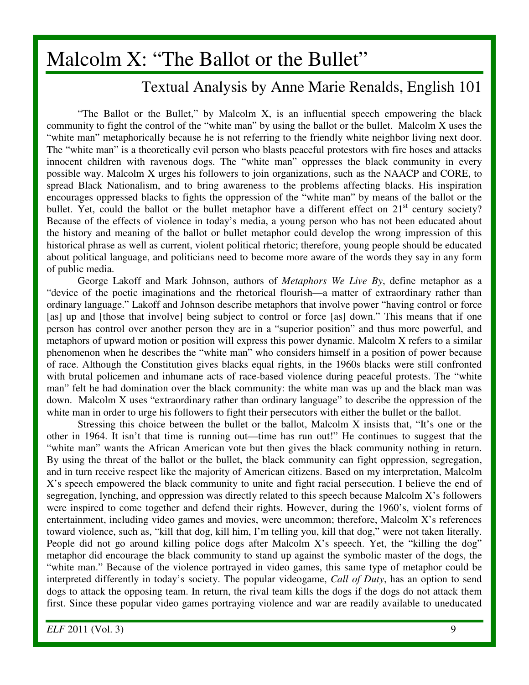## Malcolm X: "The Ballot or the Bullet"

## Textual Analysis by Anne Marie Renalds, English 101

"The Ballot or the Bullet," by Malcolm X, is an influential speech empowering the black community to fight the control of the "white man" by using the ballot or the bullet. Malcolm X uses the "white man" metaphorically because he is not referring to the friendly white neighbor living next door. The "white man" is a theoretically evil person who blasts peaceful protestors with fire hoses and attacks innocent children with ravenous dogs. The "white man" oppresses the black community in every possible way. Malcolm X urges his followers to join organizations, such as the NAACP and CORE, to spread Black Nationalism, and to bring awareness to the problems affecting blacks. His inspiration encourages oppressed blacks to fights the oppression of the "white man" by means of the ballot or the bullet. Yet, could the ballot or the bullet metaphor have a different effect on  $21<sup>st</sup>$  century society? Because of the effects of violence in today's media, a young person who has not been educated about the history and meaning of the ballot or bullet metaphor could develop the wrong impression of this historical phrase as well as current, violent political rhetoric; therefore, young people should be educated about political language, and politicians need to become more aware of the words they say in any form of public media.

George Lakoff and Mark Johnson, authors of *Metaphors We Live By*, define metaphor as a "device of the poetic imaginations and the rhetorical flourish—a matter of extraordinary rather than ordinary language." Lakoff and Johnson describe metaphors that involve power "having control or force [as] up and [those that involve] being subject to control or force [as] down." This means that if one person has control over another person they are in a "superior position" and thus more powerful, and metaphors of upward motion or position will express this power dynamic. Malcolm X refers to a similar phenomenon when he describes the "white man" who considers himself in a position of power because of race. Although the Constitution gives blacks equal rights, in the 1960s blacks were still confronted with brutal policemen and inhumane acts of race-based violence during peaceful protests. The "white man" felt he had domination over the black community: the white man was up and the black man was down. Malcolm X uses "extraordinary rather than ordinary language" to describe the oppression of the white man in order to urge his followers to fight their persecutors with either the bullet or the ballot.

Stressing this choice between the bullet or the ballot, Malcolm X insists that, "It's one or the other in 1964. It isn't that time is running out—time has run out!" He continues to suggest that the "white man" wants the African American vote but then gives the black community nothing in return. By using the threat of the ballot or the bullet, the black community can fight oppression, segregation, and in turn receive respect like the majority of American citizens. Based on my interpretation, Malcolm X's speech empowered the black community to unite and fight racial persecution. I believe the end of segregation, lynching, and oppression was directly related to this speech because Malcolm X's followers were inspired to come together and defend their rights. However, during the 1960's, violent forms of entertainment, including video games and movies, were uncommon; therefore, Malcolm X's references toward violence, such as, "kill that dog, kill him, I'm telling you, kill that dog," were not taken literally. People did not go around killing police dogs after Malcolm X's speech. Yet, the "killing the dog" metaphor did encourage the black community to stand up against the symbolic master of the dogs, the "white man." Because of the violence portrayed in video games, this same type of metaphor could be interpreted differently in today's society. The popular videogame, *Call of Duty*, has an option to send dogs to attack the opposing team. In return, the rival team kills the dogs if the dogs do not attack them first. Since these popular video games portraying violence and war are readily available to uneducated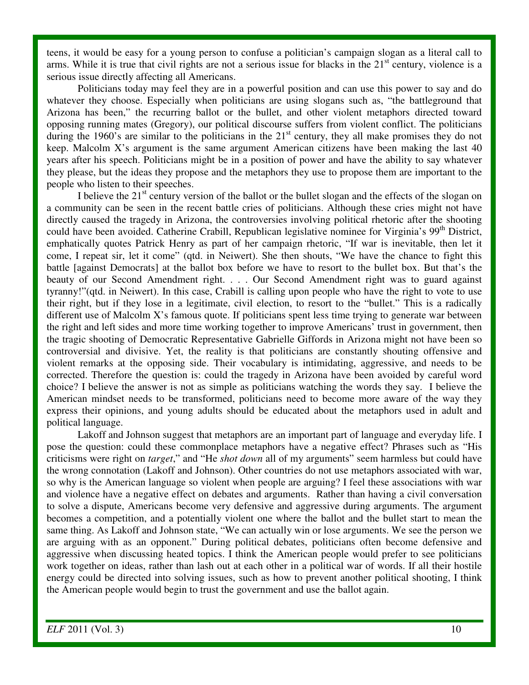teens, it would be easy for a young person to confuse a politician's campaign slogan as a literal call to arms. While it is true that civil rights are not a serious issue for blacks in the  $21<sup>st</sup>$  century, violence is a serious issue directly affecting all Americans.

Politicians today may feel they are in a powerful position and can use this power to say and do whatever they choose. Especially when politicians are using slogans such as, "the battleground that Arizona has been," the recurring ballot or the bullet, and other violent metaphors directed toward opposing running mates (Gregory), our political discourse suffers from violent conflict. The politicians during the 1960's are similar to the politicians in the  $21<sup>st</sup>$  century, they all make promises they do not keep. Malcolm X's argument is the same argument American citizens have been making the last 40 years after his speech. Politicians might be in a position of power and have the ability to say whatever they please, but the ideas they propose and the metaphors they use to propose them are important to the people who listen to their speeches.

I believe the  $21<sup>st</sup>$  century version of the ballot or the bullet slogan and the effects of the slogan on a community can be seen in the recent battle cries of politicians. Although these cries might not have directly caused the tragedy in Arizona, the controversies involving political rhetoric after the shooting could have been avoided. Catherine Crabill, Republican legislative nominee for Virginia's 99<sup>th</sup> District, emphatically quotes Patrick Henry as part of her campaign rhetoric, "If war is inevitable, then let it come, I repeat sir, let it come" (qtd. in Neiwert). She then shouts, "We have the chance to fight this battle [against Democrats] at the ballot box before we have to resort to the bullet box. But that's the beauty of our Second Amendment right. . . . Our Second Amendment right was to guard against tyranny!"(qtd. in Neiwert). In this case, Crabill is calling upon people who have the right to vote to use their right, but if they lose in a legitimate, civil election, to resort to the "bullet." This is a radically different use of Malcolm X's famous quote. If politicians spent less time trying to generate war between the right and left sides and more time working together to improve Americans' trust in government, then the tragic shooting of Democratic Representative Gabrielle Giffords in Arizona might not have been so controversial and divisive. Yet, the reality is that politicians are constantly shouting offensive and violent remarks at the opposing side. Their vocabulary is intimidating, aggressive, and needs to be corrected. Therefore the question is: could the tragedy in Arizona have been avoided by careful word choice? I believe the answer is not as simple as politicians watching the words they say. I believe the American mindset needs to be transformed, politicians need to become more aware of the way they express their opinions, and young adults should be educated about the metaphors used in adult and political language.

 Lakoff and Johnson suggest that metaphors are an important part of language and everyday life. I pose the question: could these commonplace metaphors have a negative effect? Phrases such as "His criticisms were right on *target*," and "He *shot down* all of my arguments" seem harmless but could have the wrong connotation (Lakoff and Johnson). Other countries do not use metaphors associated with war, so why is the American language so violent when people are arguing? I feel these associations with war and violence have a negative effect on debates and arguments. Rather than having a civil conversation to solve a dispute, Americans become very defensive and aggressive during arguments. The argument becomes a competition, and a potentially violent one where the ballot and the bullet start to mean the same thing. As Lakoff and Johnson state, "We can actually win or lose arguments. We see the person we are arguing with as an opponent." During political debates, politicians often become defensive and aggressive when discussing heated topics. I think the American people would prefer to see politicians work together on ideas, rather than lash out at each other in a political war of words. If all their hostile energy could be directed into solving issues, such as how to prevent another political shooting, I think the American people would begin to trust the government and use the ballot again.